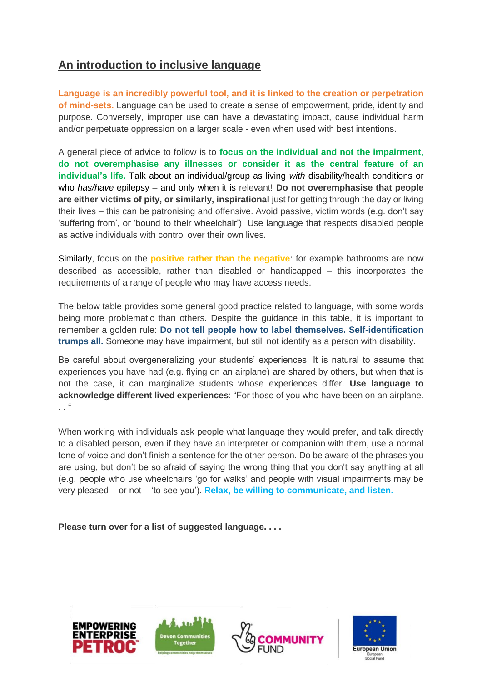## **An introduction to inclusive language**

**Language is an incredibly powerful tool, and it is linked to the creation or perpetration of mind-sets.** Language can be used to create a sense of empowerment, pride, identity and purpose. Conversely, improper use can have a devastating impact, cause individual harm and/or perpetuate oppression on a larger scale - even when used with best intentions.

A general piece of advice to follow is to **focus on the individual and not the impairment, do not overemphasise any illnesses or consider it as the central feature of an individual's life.** Talk about an individual/group as living *with* disability/health conditions or who *has/have* epilepsy – and only when it is relevant! **Do not overemphasise that people are either victims of pity, or similarly, inspirational** just for getting through the day or living their lives – this can be patronising and offensive. Avoid passive, victim words (e.g. don't say 'suffering from', or 'bound to their wheelchair'). Use language that respects disabled people as active individuals with control over their own lives.

Similarly, focus on the **positive rather than the negative**: for example bathrooms are now described as accessible, rather than disabled or handicapped – this incorporates the requirements of a range of people who may have access needs.

The below table provides some general good practice related to language, with some words being more problematic than others. Despite the guidance in this table, it is important to remember a golden rule: **Do not tell people how to label themselves. Self-identification trumps all.** Someone may have impairment, but still not identify as a person with disability.

Be careful about overgeneralizing your students' experiences. It is natural to assume that experiences you have had (e.g. flying on an airplane) are shared by others, but when that is not the case, it can marginalize students whose experiences differ. **Use language to acknowledge different lived experiences**: "For those of you who have been on an airplane.  $\cdot$  .  $\cdot$ 

When working with individuals ask people what language they would prefer, and talk directly to a disabled person, even if they have an interpreter or companion with them, use a normal tone of voice and don't finish a sentence for the other person. Do be aware of the phrases you are using, but don't be so afraid of saying the wrong thing that you don't say anything at all (e.g. people who use wheelchairs 'go for walks' and people with visual impairments may be very pleased – or not – 'to see you'). **Relax, be willing to communicate, and listen.**

**Please turn over for a list of suggested language. . . .**